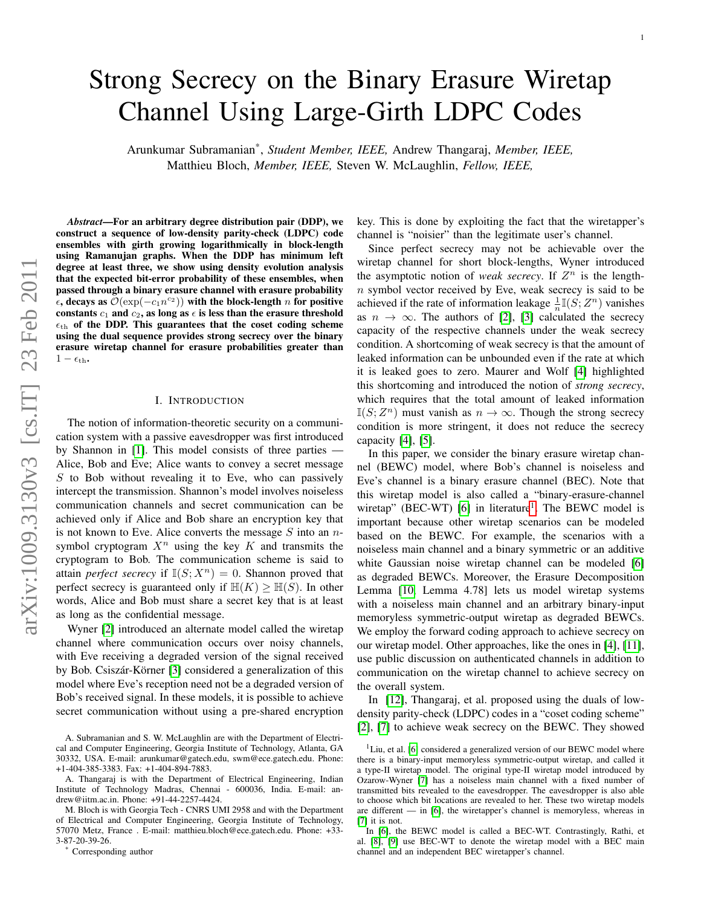# Strong Secrecy on the Binary Erasure Wiretap Channel Using Large-Girth LDPC Codes

Arunkumar Subramanian\* , *Student Member, IEEE,* Andrew Thangaraj, *Member, IEEE,* Matthieu Bloch, *Member, IEEE,* Steven W. McLaughlin, *Fellow, IEEE,*

*Abstract*—For an arbitrary degree distribution pair (DDP), we construct a sequence of low-density parity-check (LDPC) code ensembles with girth growing logarithmically in block-length using Ramanujan graphs. When the DDP has minimum left degree at least three, we show using density evolution analysis that the expected bit-error probability of these ensembles, when passed through a binary erasure channel with erasure probability  $\tilde{e}$ , decays as  $\tilde{\mathcal{O}}(\exp(-c_1 n^{c_2}))$  with the block-length n for positive constants  $c_1$  and  $c_2$ , as long as  $\epsilon$  is less than the erasure threshold  $\epsilon_{\text{th}}$  of the DDP. This guarantees that the coset coding scheme using the dual sequence provides strong secrecy over the binary erasure wiretap channel for erasure probabilities greater than  $1 - \epsilon_{\text{th}}$ .

## I. INTRODUCTION

The notion of information-theoretic security on a communication system with a passive eavesdropper was first introduced by Shannon in [\[1\]](#page-9-0). This model consists of three parties — Alice, Bob and Eve; Alice wants to convey a secret message  $S$  to Bob without revealing it to Eve, who can passively intercept the transmission. Shannon's model involves noiseless communication channels and secret communication can be achieved only if Alice and Bob share an encryption key that is not known to Eve. Alice converts the message  $S$  into an  $n$ symbol cryptogram  $X^n$  using the key K and transmits the cryptogram to Bob. The communication scheme is said to attain *perfect secrecy* if  $\mathbb{I}(S; X^n) = 0$ . Shannon proved that perfect secrecy is guaranteed only if  $H(K) \ge H(S)$ . In other words, Alice and Bob must share a secret key that is at least as long as the confidential message.

Wyner [\[2\]](#page-9-1) introduced an alternate model called the wiretap channel where communication occurs over noisy channels, with Eve receiving a degraded version of the signal received by Bob. Csiszár-Körner [\[3\]](#page-9-2) considered a generalization of this model where Eve's reception need not be a degraded version of Bob's received signal. In these models, it is possible to achieve secret communication without using a pre-shared encryption

Corresponding author

key. This is done by exploiting the fact that the wiretapper's channel is "noisier" than the legitimate user's channel.

Since perfect secrecy may not be achievable over the wiretap channel for short block-lengths, Wyner introduced the asymptotic notion of *weak secrecy*. If  $Z^n$  is the length $n$  symbol vector received by Eve, weak secrecy is said to be achieved if the rate of information leakage  $\frac{1}{n} \mathbb{I}(S; Z^n)$  vanishes as  $n \to \infty$ . The authors of [\[2\]](#page-9-1), [\[3\]](#page-9-2) calculated the secrecy capacity of the respective channels under the weak secrecy condition. A shortcoming of weak secrecy is that the amount of leaked information can be unbounded even if the rate at which it is leaked goes to zero. Maurer and Wolf [\[4\]](#page-9-3) highlighted this shortcoming and introduced the notion of *strong secrecy*, which requires that the total amount of leaked information  $\mathbb{I}(S; Z^n)$  must vanish as  $n \to \infty$ . Though the strong secrecy condition is more stringent, it does not reduce the secrecy capacity [\[4\]](#page-9-3), [\[5\]](#page-9-4).

In this paper, we consider the binary erasure wiretap channel (BEWC) model, where Bob's channel is noiseless and Eve's channel is a binary erasure channel (BEC). Note that this wiretap model is also called a "binary-erasure-channel wiretap" (BEC-WT) [\[6\]](#page-9-5) in literature<sup>[1](#page-0-0)</sup>. The BEWC model is important because other wiretap scenarios can be modeled based on the BEWC. For example, the scenarios with a noiseless main channel and a binary symmetric or an additive white Gaussian noise wiretap channel can be modeled [\[6\]](#page-9-5) as degraded BEWCs. Moreover, the Erasure Decomposition Lemma [\[10,](#page-9-6) Lemma 4.78] lets us model wiretap systems with a noiseless main channel and an arbitrary binary-input memoryless symmetric-output wiretap as degraded BEWCs. We employ the forward coding approach to achieve secrecy on our wiretap model. Other approaches, like the ones in [\[4\]](#page-9-3), [\[11\]](#page-9-7), use public discussion on authenticated channels in addition to communication on the wiretap channel to achieve secrecy on the overall system.

In [\[12\]](#page-9-8), Thangaraj, et al. proposed using the duals of lowdensity parity-check (LDPC) codes in a "coset coding scheme" [\[2\]](#page-9-1), [\[7\]](#page-9-9) to achieve weak secrecy on the BEWC. They showed

A. Subramanian and S. W. McLaughlin are with the Department of Electrical and Computer Engineering, Georgia Institute of Technology, Atlanta, GA 30332, USA. E-mail: arunkumar@gatech.edu, swm@ece.gatech.edu. Phone: +1-404-385-3383. Fax: +1-404-894-7883.

A. Thangaraj is with the Department of Electrical Engineering, Indian Institute of Technology Madras, Chennai - 600036, India. E-mail: andrew@iitm.ac.in. Phone: +91-44-2257-4424.

M. Bloch is with Georgia Tech - CNRS UMI 2958 and with the Department of Electrical and Computer Engineering, Georgia Institute of Technology, 57070 Metz, France . E-mail: matthieu.bloch@ece.gatech.edu. Phone: +33- 3-87-20-39-26.

<span id="page-0-0"></span> $1$ Liu, et al. [\[6\]](#page-9-5) considered a generalized version of our BEWC model where there is a binary-input memoryless symmetric-output wiretap, and called it a type-II wiretap model. The original type-II wiretap model introduced by Ozarow-Wyner [\[7\]](#page-9-9) has a noiseless main channel with a fixed number of transmitted bits revealed to the eavesdropper. The eavesdropper is also able to choose which bit locations are revealed to her. These two wiretap models are different — in [\[6\]](#page-9-5), the wiretapper's channel is memoryless, whereas in [\[7\]](#page-9-9) it is not.

In [\[6\]](#page-9-5), the BEWC model is called a BEC-WT. Contrastingly, Rathi, et al. [\[8\]](#page-9-10), [\[9\]](#page-9-11) use BEC-WT to denote the wiretap model with a BEC main channel and an independent BEC wiretapper's channel.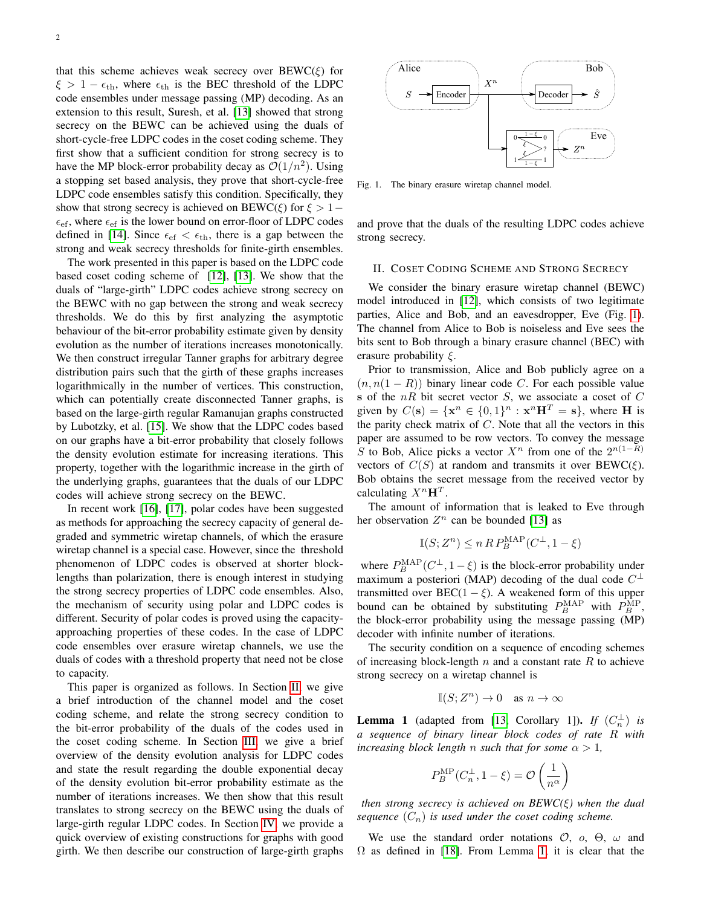that this scheme achieves weak secrecy over  $B EWC(\xi)$  for  $\xi > 1 - \epsilon_{\text{th}}$ , where  $\epsilon_{\text{th}}$  is the BEC threshold of the LDPC code ensembles under message passing (MP) decoding. As an extension to this result, Suresh, et al. [\[13\]](#page-9-12) showed that strong secrecy on the BEWC can be achieved using the duals of short-cycle-free LDPC codes in the coset coding scheme. They first show that a sufficient condition for strong secrecy is to have the MP block-error probability decay as  $\mathcal{O}(1/n^2)$ . Using a stopping set based analysis, they prove that short-cycle-free LDPC code ensembles satisfy this condition. Specifically, they show that strong secrecy is achieved on BEWC( $\xi$ ) for  $\xi > 1$  –  $\epsilon_{\rm ef}$ , where  $\epsilon_{\rm ef}$  is the lower bound on error-floor of LDPC codes defined in [\[14\]](#page-9-13). Since  $\epsilon_{\rm ef} < \epsilon_{\rm th}$ , there is a gap between the strong and weak secrecy thresholds for finite-girth ensembles.

The work presented in this paper is based on the LDPC code based coset coding scheme of [\[12\]](#page-9-8), [\[13\]](#page-9-12). We show that the duals of "large-girth" LDPC codes achieve strong secrecy on the BEWC with no gap between the strong and weak secrecy thresholds. We do this by first analyzing the asymptotic behaviour of the bit-error probability estimate given by density evolution as the number of iterations increases monotonically. We then construct irregular Tanner graphs for arbitrary degree distribution pairs such that the girth of these graphs increases logarithmically in the number of vertices. This construction, which can potentially create disconnected Tanner graphs, is based on the large-girth regular Ramanujan graphs constructed by Lubotzky, et al. [\[15\]](#page-9-14). We show that the LDPC codes based on our graphs have a bit-error probability that closely follows the density evolution estimate for increasing iterations. This property, together with the logarithmic increase in the girth of the underlying graphs, guarantees that the duals of our LDPC codes will achieve strong secrecy on the BEWC.

In recent work [\[16\]](#page-10-0), [\[17\]](#page-10-1), polar codes have been suggested as methods for approaching the secrecy capacity of general degraded and symmetric wiretap channels, of which the erasure wiretap channel is a special case. However, since the threshold phenomenon of LDPC codes is observed at shorter blocklengths than polarization, there is enough interest in studying the strong secrecy properties of LDPC code ensembles. Also, the mechanism of security using polar and LDPC codes is different. Security of polar codes is proved using the capacityapproaching properties of these codes. In the case of LDPC code ensembles over erasure wiretap channels, we use the duals of codes with a threshold property that need not be close to capacity.

This paper is organized as follows. In Section [II,](#page-1-0) we give a brief introduction of the channel model and the coset coding scheme, and relate the strong secrecy condition to the bit-error probability of the duals of the codes used in the coset coding scheme. In Section [III,](#page-2-0) we give a brief overview of the density evolution analysis for LDPC codes and state the result regarding the double exponential decay of the density evolution bit-error probability estimate as the number of iterations increases. We then show that this result translates to strong secrecy on the BEWC using the duals of large-girth regular LDPC codes. In Section [IV,](#page-3-0) we provide a quick overview of existing constructions for graphs with good girth. We then describe our construction of large-girth graphs



<span id="page-1-1"></span>Fig. 1. The binary erasure wiretap channel model.

and prove that the duals of the resulting LDPC codes achieve strong secrecy.

#### <span id="page-1-0"></span>II. COSET CODING SCHEME AND STRONG SECRECY

We consider the binary erasure wiretap channel (BEWC) model introduced in [\[12\]](#page-9-8), which consists of two legitimate parties, Alice and Bob, and an eavesdropper, Eve (Fig. [1\)](#page-1-1). The channel from Alice to Bob is noiseless and Eve sees the bits sent to Bob through a binary erasure channel (BEC) with erasure probability  $\xi$ .

Prior to transmission, Alice and Bob publicly agree on a  $(n, n(1 - R))$  binary linear code C. For each possible value s of the  $nR$  bit secret vector  $S$ , we associate a coset of  $C$ given by  $C(\mathbf{s}) = {\mathbf{x}^n \in \{0,1\}^n : \mathbf{x}^n \mathbf{H}^T = \mathbf{s}}$ , where **H** is the parity check matrix of  $C$ . Note that all the vectors in this paper are assumed to be row vectors. To convey the message S to Bob, Alice picks a vector  $X^n$  from one of the  $2^{n(1-R)}$ vectors of  $C(S)$  at random and transmits it over  $BEWC(\xi)$ . Bob obtains the secret message from the received vector by calculating  $X^n$ **H**<sup>T</sup>.

The amount of information that is leaked to Eve through her observation  $Z^n$  can be bounded [\[13\]](#page-9-12) as

$$
\mathbb{I}(S;Z^n) \le n \, R \, P^{\text{MAP}}_B(C^{\perp}, 1-\xi)
$$

where  $P_B^{\text{MAP}}(C^{\perp}, 1 - \xi)$  is the block-error probability under maximum a posteriori (MAP) decoding of the dual code  $C^{\perp}$ transmitted over  $\text{BEC}(1-\xi)$ . A weakened form of this upper bound can be obtained by substituting  $P_B^{\text{MAP}}$  with  $P_B^{\text{MP}}$ , the block-error probability using the message passing (MP) decoder with infinite number of iterations.

The security condition on a sequence of encoding schemes of increasing block-length  $n$  and a constant rate  $R$  to achieve strong secrecy on a wiretap channel is

$$
\mathbb{I}(S;Z^n)\to 0 \quad \text{as } n\to\infty
$$

<span id="page-1-2"></span>**Lemma 1** (adapted from [\[13,](#page-9-12) Corollary 1]). *If*  $(C_n^{\perp})$  *is a sequence of binary linear block codes of rate* R *with increasing block length n such that for some*  $\alpha > 1$ *,* 

$$
P_B^{\text{MP}}(C_n^{\perp}, 1 - \xi) = \mathcal{O}\left(\frac{1}{n^{\alpha}}\right)
$$

*then strong secrecy is achieved on BEWC(*ξ*) when the dual sequence*  $(C_n)$  *is used under the coset coding scheme.* 

We use the standard order notations  $\mathcal{O}$ ,  $\partial$ ,  $\Theta$ ,  $\omega$  and  $\Omega$  as defined in [\[18\]](#page-10-2). From Lemma [1,](#page-1-2) it is clear that the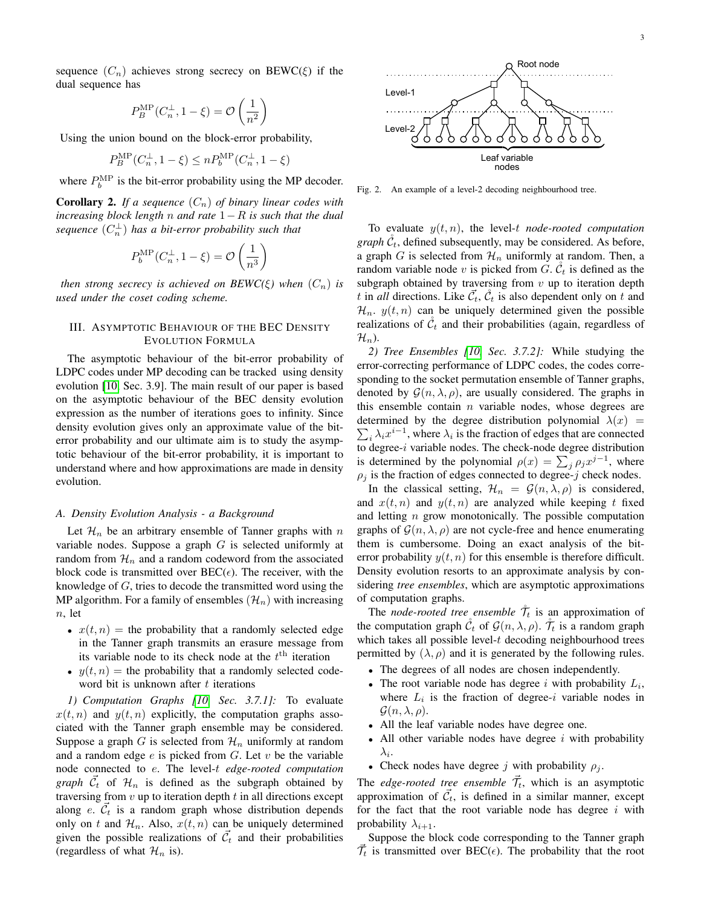sequence  $(C_n)$  achieves strong secrecy on BEWC( $\xi$ ) if the dual sequence has

$$
P_B^{\rm MP}(C_n^{\perp}, 1 - \xi) = \mathcal{O}\left(\frac{1}{n^2}\right)
$$

Using the union bound on the block-error probability,

$$
P_B^{\text{MP}}(C_n^{\perp}, 1 - \xi) \le n P_b^{\text{MP}}(C_n^{\perp}, 1 - \xi)
$$

where  $P_b^{\text{MP}}$  is the bit-error probability using the MP decoder.

<span id="page-2-1"></span>**Corollary 2.** If a sequence  $(C_n)$  of binary linear codes with *increasing block length* n *and rate* 1−R *is such that the dual* sequence  $(C_n^{\perp})$  has a bit-error probability such that

$$
P_b^{\text{MP}}(C_n^{\perp}, 1 - \xi) = \mathcal{O}\left(\frac{1}{n^3}\right)
$$

*then strong secrecy is achieved on BEWC(ξ) when*  $(C_n)$  *is used under the coset coding scheme.*

# <span id="page-2-0"></span>III. ASYMPTOTIC BEHAVIOUR OF THE BEC DENSITY EVOLUTION FORMULA

The asymptotic behaviour of the bit-error probability of LDPC codes under MP decoding can be tracked using density evolution [\[10,](#page-9-6) Sec. 3.9]. The main result of our paper is based on the asymptotic behaviour of the BEC density evolution expression as the number of iterations goes to infinity. Since density evolution gives only an approximate value of the biterror probability and our ultimate aim is to study the asymptotic behaviour of the bit-error probability, it is important to understand where and how approximations are made in density evolution.

#### *A. Density Evolution Analysis - a Background*

Let  $\mathcal{H}_n$  be an arbitrary ensemble of Tanner graphs with n variable nodes. Suppose a graph  $G$  is selected uniformly at random from  $\mathcal{H}_n$  and a random codeword from the associated block code is transmitted over  $BEC(\epsilon)$ . The receiver, with the knowledge of  $G$ , tries to decode the transmitted word using the MP algorithm. For a family of ensembles  $(\mathcal{H}_n)$  with increasing  $n$ , let

- $x(t, n)$  = the probability that a randomly selected edge in the Tanner graph transmits an erasure message from its variable node to its check node at the  $t<sup>th</sup>$  iteration
- $y(t, n)$  = the probability that a randomly selected codeword bit is unknown after  $t$  iterations

*1) Computation Graphs [\[10,](#page-9-6) Sec. 3.7.1]:* To evaluate  $x(t, n)$  and  $y(t, n)$  explicitly, the computation graphs associated with the Tanner graph ensemble may be considered. Suppose a graph G is selected from  $\mathcal{H}_n$  uniformly at random and a random edge  $e$  is picked from  $G$ . Let  $v$  be the variable node connected to e. The level-t *edge-rooted computation graph*  $\vec{C}_t$  of  $\mathcal{H}_n$  is defined as the subgraph obtained by traversing from  $v$  up to iteration depth  $t$  in all directions except along  $e \cdot \vec{C}_t$  is a random graph whose distribution depends only on t and  $\mathcal{H}_n$ . Also,  $x(t, n)$  can be uniquely determined given the possible realizations of  $\vec{\mathcal{C}}_t$  and their probabilities (regardless of what  $\mathcal{H}_n$  is).



Fig. 2. An example of a level-2 decoding neighbourhood tree.

To evaluate  $y(t, n)$ , the level-t *node-rooted computation*  $graph C_t$ , defined subsequently, may be considered. As before, a graph G is selected from  $\mathcal{H}_n$  uniformly at random. Then, a random variable node v is picked from G.  $\check{\mathcal{C}}_t$  is defined as the subgraph obtained by traversing from  $v$  up to iteration depth t in *all* directions. Like  $\vec{C}_t$ ,  $\vec{C}_t$  is also dependent only on t and  $\mathcal{H}_n$ .  $y(t, n)$  can be uniquely determined given the possible realizations of  $\mathcal{C}_t$  and their probabilities (again, regardless of  $\mathcal{H}_n$ ).

*2) Tree Ensembles [\[10,](#page-9-6) Sec. 3.7.2]:* While studying the error-correcting performance of LDPC codes, the codes corresponding to the socket permutation ensemble of Tanner graphs, denoted by  $\mathcal{G}(n, \lambda, \rho)$ , are usually considered. The graphs in this ensemble contain  $n$  variable nodes, whose degrees are determined by the degree distribution polynomial  $\lambda(x)$  =  $\sum_i \lambda_i x^{i-1}$ , where  $\lambda_i$  is the fraction of edges that are connected to degree-i variable nodes. The check-node degree distribution is determined by the polynomial  $\rho(x) = \sum_j \rho_j x^{j-1}$ , where  $\rho_i$  is the fraction of edges connected to degree-j check nodes.

In the classical setting,  $\mathcal{H}_n = \mathcal{G}(n, \lambda, \rho)$  is considered, and  $x(t, n)$  and  $y(t, n)$  are analyzed while keeping t fixed and letting  $n$  grow monotonically. The possible computation graphs of  $\mathcal{G}(n, \lambda, \rho)$  are not cycle-free and hence enumerating them is cumbersome. Doing an exact analysis of the biterror probability  $y(t, n)$  for this ensemble is therefore difficult. Density evolution resorts to an approximate analysis by considering *tree ensembles*, which are asymptotic approximations of computation graphs.

The *node-rooted tree ensemble*  $\mathcal{T}_t$  is an approximation of the computation graph  $\tilde{C}_t$  of  $\mathcal{G}(n, \lambda, \rho)$ .  $\tilde{\mathcal{T}}_t$  is a random graph which takes all possible level- $t$  decoding neighbourhood trees permitted by  $(\lambda, \rho)$  and it is generated by the following rules.

- The degrees of all nodes are chosen independently.
- The root variable node has degree i with probability  $L_i$ , where  $L_i$  is the fraction of degree-i variable nodes in  $\mathcal{G}(n, \lambda, \rho).$
- All the leaf variable nodes have degree one.
- All other variable nodes have degree  $i$  with probability  $\lambda_i$ .
- Check nodes have degree j with probability  $\rho_j$ .

The *edge-rooted tree ensemble*  $\vec{\tau}_t$ , which is an asymptotic approximation of  $\vec{\mathcal{C}}_t$ , is defined in a similar manner, except for the fact that the root variable node has degree  $i$  with probability  $\lambda_{i+1}$ .

Suppose the block code corresponding to the Tanner graph  $\vec{\mathcal{T}}_t$  is transmitted over BEC( $\epsilon$ ). The probability that the root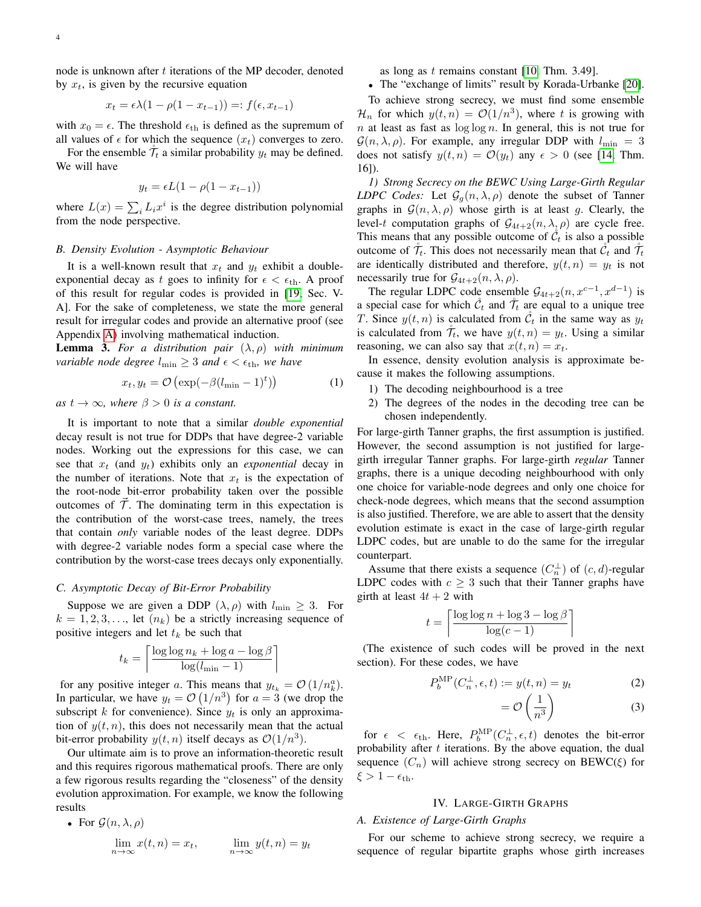node is unknown after t iterations of the MP decoder, denoted by  $x_t$ , is given by the recursive equation

$$
x_t = \epsilon \lambda (1 - \rho(1 - x_{t-1})) =: f(\epsilon, x_{t-1})
$$

with  $x_0 = \epsilon$ . The threshold  $\epsilon_{\text{th}}$  is defined as the supremum of all values of  $\epsilon$  for which the sequence  $(x_t)$  converges to zero.

For the ensemble  $\mathcal{T}_t$  a similar probability  $y_t$  may be defined. We will have

$$
y_t = \epsilon L(1 - \rho(1 - x_{t-1}))
$$

where  $L(x) = \sum_i L_i x^i$  is the degree distribution polynomial from the node perspective.

#### *B. Density Evolution - Asymptotic Behaviour*

It is a well-known result that  $x_t$  and  $y_t$  exhibit a doubleexponential decay as t goes to infinity for  $\epsilon < \epsilon_{\text{th}}$ . A proof of this result for regular codes is provided in [\[19,](#page-10-3) Sec. V-A]. For the sake of completeness, we state the more general result for irregular codes and provide an alternative proof (see Appendix [A\)](#page-7-0) involving mathematical induction.

<span id="page-3-1"></span>**Lemma 3.** For a distribution pair  $(\lambda, \rho)$  with minimum *variable node degree*  $l_{\min} \geq 3$  *and*  $\epsilon < \epsilon_{\text{th}}$ *, we have* 

$$
x_t, y_t = \mathcal{O}\left(\exp(-\beta(l_{\min} - 1)^t)\right) \tag{1}
$$

*as*  $t \to \infty$ *, where*  $\beta > 0$  *is a constant.* 

It is important to note that a similar *double exponential* decay result is not true for DDPs that have degree-2 variable nodes. Working out the expressions for this case, we can see that  $x_t$  (and  $y_t$ ) exhibits only an *exponential* decay in the number of iterations. Note that  $x_t$  is the expectation of the root-node bit-error probability taken over the possible outcomes of  $\tilde{T}$ . The dominating term in this expectation is the contribution of the worst-case trees, namely, the trees that contain *only* variable nodes of the least degree. DDPs with degree-2 variable nodes form a special case where the contribution by the worst-case trees decays only exponentially.

#### *C. Asymptotic Decay of Bit-Error Probability*

Suppose we are given a DDP  $(\lambda, \rho)$  with  $l_{\min} \geq 3$ . For  $k = 1, 2, 3, \ldots$ , let  $(n_k)$  be a strictly increasing sequence of positive integers and let  $t_k$  be such that

$$
t_k = \left\lceil \frac{\log \log n_k + \log a - \log \beta}{\log (l_{\min} - 1)} \right\rceil
$$

for any positive integer a. This means that  $y_{t_k} = \mathcal{O}(1/n_k^a)$ . In particular, we have  $y_t = \mathcal{O}(1/n^3)$  for  $a = 3$  (we drop the subscript k for convenience). Since  $y_t$  is only an approximation of  $y(t, n)$ , this does not necessarily mean that the actual bit-error probability  $y(t, n)$  itself decays as  $\mathcal{O}(1/n^3)$ .

Our ultimate aim is to prove an information-theoretic result and this requires rigorous mathematical proofs. There are only a few rigorous results regarding the "closeness" of the density evolution approximation. For example, we know the following results

• For 
$$
\mathcal{G}(n, \lambda, \rho)
$$
  
\n
$$
\lim_{n \to \infty} x(t, n) = x_t, \qquad \lim_{n \to \infty} y(t, n) = y_t
$$

as long as t remains constant  $[10, Thm. 3.49]$  $[10, Thm. 3.49]$ .

• The "exchange of limits" result by Korada-Urbanke [\[20\]](#page-10-4).

To achieve strong secrecy, we must find some ensemble  $\mathcal{H}_n$  for which  $y(t, n) = \mathcal{O}(1/n^3)$ , where t is growing with  $n$  at least as fast as  $\log \log n$ . In general, this is not true for  $\mathcal{G}(n, \lambda, \rho)$ . For example, any irregular DDP with  $l_{\min} = 3$ does not satisfy  $y(t, n) = \mathcal{O}(y_t)$  any  $\epsilon > 0$  (see [\[14,](#page-9-13) Thm. 16]).

*1) Strong Secrecy on the BEWC Using Large-Girth Regular LDPC Codes:* Let  $\mathcal{G}_q(n,\lambda,\rho)$  denote the subset of Tanner graphs in  $\mathcal{G}(n, \lambda, \rho)$  whose girth is at least g. Clearly, the level-t computation graphs of  $G_{4t+2}(n, \lambda, \rho)$  are cycle free. This means that any possible outcome of  $\check{\mathcal{C}}_t$  is also a possible outcome of  $\mathcal{T}_t$ . This does not necessarily mean that  $\mathcal{C}_t$  and  $\mathcal{T}_t$ are identically distributed and therefore,  $y(t, n) = y_t$  is not necessarily true for  $\mathcal{G}_{4t+2}(n, \lambda, \rho)$ .

The regular LDPC code ensemble  $G_{4t+2}(n, x^{c-1}, x^{d-1})$  is a special case for which  $\mathcal{C}_t$  and  $\mathcal{T}_t$  are equal to a unique tree T. Since  $y(t, n)$  is calculated from  $\mathcal{C}_t$  in the same way as  $y_t$ is calculated from  $\mathcal{T}_t$ , we have  $y(t, n) = y_t$ . Using a similar reasoning, we can also say that  $x(t, n) = x_t$ .

In essence, density evolution analysis is approximate because it makes the following assumptions.

- 1) The decoding neighbourhood is a tree
- 2) The degrees of the nodes in the decoding tree can be chosen independently.

For large-girth Tanner graphs, the first assumption is justified. However, the second assumption is not justified for largegirth irregular Tanner graphs. For large-girth *regular* Tanner graphs, there is a unique decoding neighbourhood with only one choice for variable-node degrees and only one choice for check-node degrees, which means that the second assumption is also justified. Therefore, we are able to assert that the density evolution estimate is exact in the case of large-girth regular LDPC codes, but are unable to do the same for the irregular counterpart.

Assume that there exists a sequence  $(C_n^{\perp})$  of  $(c, d)$ -regular LDPC codes with  $c \geq 3$  such that their Tanner graphs have girth at least  $4t + 2$  with

$$
t = \left\lceil \frac{\log \log n + \log 3 - \log \beta}{\log (c - 1)} \right\rceil
$$

(The existence of such codes will be proved in the next section). For these codes, we have

$$
P_b^{\rm MP}(C_n^{\perp}, \epsilon, t) := y(t, n) = y_t \tag{2}
$$

$$
=\mathcal{O}\left(\frac{1}{n^3}\right) \tag{3}
$$

for  $\epsilon < \epsilon_{\text{th}}$ . Here,  $P_b^{\text{MP}}(C_n^{\perp}, \epsilon, t)$  denotes the bit-error probability after  $t$  iterations. By the above equation, the dual sequence  $(C_n)$  will achieve strong secrecy on BEWC( $\xi$ ) for  $\xi > 1 - \epsilon_{\text{th}}$ .

# IV. LARGE-GIRTH GRAPHS

# <span id="page-3-0"></span>*A. Existence of Large-Girth Graphs*

For our scheme to achieve strong secrecy, we require a sequence of regular bipartite graphs whose girth increases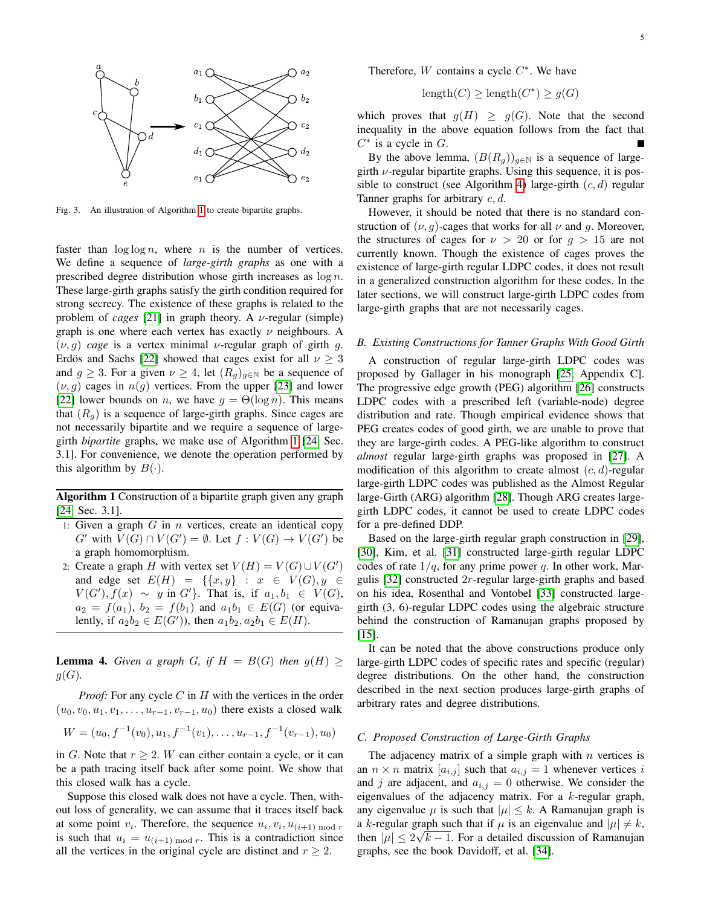

Fig. 3. An illustration of Algorithm [1](#page-4-0) to create bipartite graphs.

faster than  $\log \log n$ , where *n* is the number of vertices. We define a sequence of *large-girth graphs* as one with a prescribed degree distribution whose girth increases as  $\log n$ . These large-girth graphs satisfy the girth condition required for strong secrecy. The existence of these graphs is related to the problem of *cages* [\[21\]](#page-10-5) in graph theory. A  $\nu$ -regular (simple) graph is one where each vertex has exactly  $\nu$  neighbours. A  $(\nu, g)$  *cage* is a vertex minimal *v*-regular graph of girth g. Erdös and Sachs [\[22\]](#page-10-6) showed that cages exist for all  $\nu \geq 3$ and  $g \geq 3$ . For a given  $\nu \geq 4$ , let  $(R_g)_{g \in \mathbb{N}}$  be a sequence of  $(\nu, g)$  cages in  $n(g)$  vertices. From the upper [\[23\]](#page-10-7) and lower [\[22\]](#page-10-6) lower bounds on *n*, we have  $g = \Theta(\log n)$ . This means that  $(R_{q})$  is a sequence of large-girth graphs. Since cages are not necessarily bipartite and we require a sequence of largegirth *bipartite* graphs, we make use of Algorithm [1](#page-4-0) [\[24,](#page-10-8) Sec. 3.1]. For convenience, we denote the operation performed by this algorithm by  $B(\cdot)$ .

Algorithm 1 Construction of a bipartite graph given any graph [\[24,](#page-10-8) Sec. 3.1].

- <span id="page-4-0"></span>1: Given a graph  $G$  in  $n$  vertices, create an identical copy G' with  $V(G) \cap V(G') = \emptyset$ . Let  $f: V(G) \to V(G')$  be a graph homomorphism.
- 2: Create a graph H with vertex set  $V(H) = V(G) \cup V(G')$ and edge set  $E(H) = \{ \{x, y\} : x \in V(G), y \in$  $V(G'), f(x) \sim y$  in  $G'$ . That is, if  $a_1, b_1 \in V(G)$ ,  $a_2 = f(a_1)$ ,  $b_2 = f(b_1)$  and  $a_1b_1 \in E(G)$  (or equivalently, if  $a_2b_2 \in E(G')$ , then  $a_1b_2, a_2b_1 \in E(H)$ .

**Lemma 4.** *Given a graph G, if*  $H = B(G)$  *then*  $g(H) \geq$  $g(G)$ .

*Proof:* For any cycle C in H with the vertices in the order  $(u_0, v_0, u_1, v_1, \ldots, u_{r-1}, v_{r-1}, u_0)$  there exists a closed walk

$$
W = (u_0, f^{-1}(v_0), u_1, f^{-1}(v_1), \dots, u_{r-1}, f^{-1}(v_{r-1}), u_0)
$$

in G. Note that  $r \geq 2$ . W can either contain a cycle, or it can be a path tracing itself back after some point. We show that this closed walk has a cycle.

Suppose this closed walk does not have a cycle. Then, without loss of generality, we can assume that it traces itself back at some point  $v_i$ . Therefore, the sequence  $u_i, v_i, u_{(i+1) \text{ mod } r}$ is such that  $u_i = u_{(i+1) \bmod r}$ . This is a contradiction since all the vertices in the original cycle are distinct and  $r \geq 2$ .

Therefore,  $W$  contains a cycle  $C^*$ . We have

$$
length(C) \ge length(C^*) \ge g(G)
$$

which proves that  $g(H) \geq g(G)$ . Note that the second inequality in the above equation follows from the fact that  $C^*$  is a cycle in  $G$ .

By the above lemma,  $(B(R_g))_{g \in \mathbb{N}}$  is a sequence of largegirth  $\nu$ -regular bipartite graphs. Using this sequence, it is pos-sible to construct (see Algorithm [4\)](#page-6-0) large-girth  $(c, d)$  regular Tanner graphs for arbitrary c, d.

However, it should be noted that there is no standard construction of  $(\nu, q)$ -cages that works for all  $\nu$  and g. Moreover, the structures of cages for  $\nu > 20$  or for  $g > 15$  are not currently known. Though the existence of cages proves the existence of large-girth regular LDPC codes, it does not result in a generalized construction algorithm for these codes. In the later sections, we will construct large-girth LDPC codes from large-girth graphs that are not necessarily cages.

#### *B. Existing Constructions for Tanner Graphs With Good Girth*

A construction of regular large-girth LDPC codes was proposed by Gallager in his monograph [\[25,](#page-10-9) Appendix C]. The progressive edge growth (PEG) algorithm [\[26\]](#page-10-10) constructs LDPC codes with a prescribed left (variable-node) degree distribution and rate. Though empirical evidence shows that PEG creates codes of good girth, we are unable to prove that they are large-girth codes. A PEG-like algorithm to construct *almost* regular large-girth graphs was proposed in [\[27\]](#page-10-11). A modification of this algorithm to create almost  $(c, d)$ -regular large-girth LDPC codes was published as the Almost Regular large-Girth (ARG) algorithm [\[28\]](#page-10-12). Though ARG creates largegirth LDPC codes, it cannot be used to create LDPC codes for a pre-defined DDP.

Based on the large-girth regular graph construction in [\[29\]](#page-10-13), [\[30\]](#page-10-14), Kim, et al. [\[31\]](#page-10-15) constructed large-girth regular LDPC codes of rate  $1/q$ , for any prime power q. In other work, Margulis [\[32\]](#page-10-16) constructed 2r-regular large-girth graphs and based on his idea, Rosenthal and Vontobel [\[33\]](#page-10-17) constructed largegirth (3, 6)-regular LDPC codes using the algebraic structure behind the construction of Ramanujan graphs proposed by [\[15\]](#page-9-14).

It can be noted that the above constructions produce only large-girth LDPC codes of specific rates and specific (regular) degree distributions. On the other hand, the construction described in the next section produces large-girth graphs of arbitrary rates and degree distributions.

# *C. Proposed Construction of Large-Girth Graphs*

The adjacency matrix of a simple graph with  $n$  vertices is an  $n \times n$  matrix  $[a_{i,j}]$  such that  $a_{i,j} = 1$  whenever vertices i and j are adjacent, and  $a_{i,j} = 0$  otherwise. We consider the eigenvalues of the adjacency matrix. For a  $k$ -regular graph, any eigenvalue  $\mu$  is such that  $|\mu| \leq k$ . A Ramanujan graph is a k-regular graph such that if  $\mu$  is an eigenvalue and  $|\mu| \neq k$ , then  $|\mu| \leq 2\sqrt{k-1}$ . For a detailed discussion of Ramanujan graphs, see the book Davidoff, et al. [\[34\]](#page-10-18).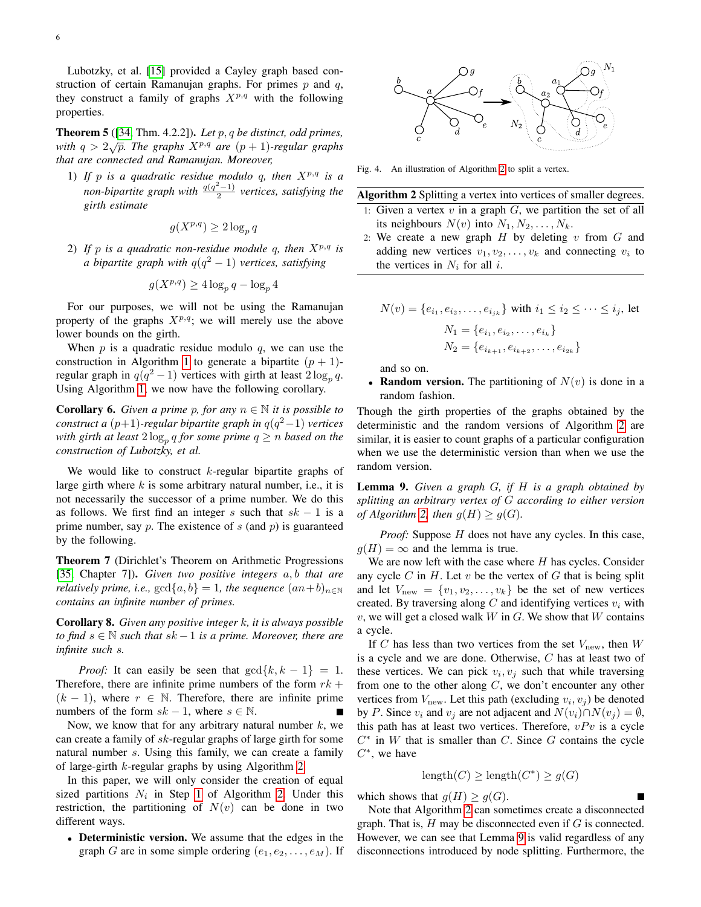Lubotzky, et al. [\[15\]](#page-9-14) provided a Cayley graph based construction of certain Ramanujan graphs. For primes  $p$  and  $q$ , they construct a family of graphs  $X^{p,q}$  with the following properties.

Theorem 5 ([\[34,](#page-10-18) Thm. 4.2.2]). *Let* p, q *be distinct, odd primes,* **FINDERED** ([54, THIRE 4.2.21]). Let  $p, q$  be assumed, bad primes,<br>with  $q > 2\sqrt{p}$ . The graphs  $X^{p,q}$  are  $(p + 1)$ -regular graphs *that are connected and Ramanujan. Moreover,*

1) If p is a quadratic residue modulo q, then  $X^{p,q}$  is a  $\sum_{n=1}^{\infty}$  *non-bipartite graph with*  $\frac{q(q^2-1)}{2}$  $\frac{(-1)}{2}$  vertices, satisfying the *girth estimate*

$$
g(X^{p,q}) \ge 2\log_p q
$$

2) If p is a quadratic non-residue module q, then  $X^{p,q}$  is *a bipartite graph with* q(q <sup>2</sup> − 1) *vertices, satisfying*

$$
g(X^{p,q}) \ge 4\log_p q - \log_p 4
$$

For our purposes, we will not be using the Ramanujan property of the graphs  $X^{p,q}$ ; we will merely use the above lower bounds on the girth.

When  $p$  is a quadratic residue modulo  $q$ , we can use the construction in Algorithm [1](#page-4-0) to generate a bipartite  $(p + 1)$ regular graph in  $q(q^2-1)$  vertices with girth at least  $2\log_p q$ . Using Algorithm [1,](#page-4-0) we now have the following corollary.

**Corollary 6.** *Given a prime p, for any*  $n \in \mathbb{N}$  *it is possible to construct a* (p+1)*-regular bipartite graph in* q(q <sup>2</sup>−1) *vertices* with girth at least  $2\log_p q$  for some prime  $q \geq n$  based on the *construction of Lubotzky, et al.*

We would like to construct  $k$ -regular bipartite graphs of large girth where  $k$  is some arbitrary natural number, i.e., it is not necessarily the successor of a prime number. We do this as follows. We first find an integer s such that  $sk - 1$  is a prime number, say  $p$ . The existence of  $s$  (and  $p$ ) is guaranteed by the following.

Theorem 7 (Dirichlet's Theorem on Arithmetic Progressions [\[35,](#page-10-19) Chapter 7]). *Given two positive integers* a, b *that are relatively prime, i.e.,*  $gcd{a, b} = 1$ *, the sequence*  $(an + b)_{n \in \mathbb{N}}$ *contains an infinite number of primes.*

Corollary 8. *Given any positive integer* k*, it is always possible to find* s ∈ N *such that* sk −1 *is a prime. Moreover, there are infinite such* s*.*

*Proof:* It can easily be seen that  $gcd\{k, k - 1\} = 1$ . Therefore, there are infinite prime numbers of the form  $rk +$  $(k - 1)$ , where  $r \in \mathbb{N}$ . Therefore, there are infinite prime numbers of the form  $sk - 1$ , where  $s \in \mathbb{N}$ .

Now, we know that for any arbitrary natural number  $k$ , we can create a family of sk-regular graphs of large girth for some natural number s. Using this family, we can create a family of large-girth  $k$ -regular graphs by using Algorithm [2.](#page-5-0)

In this paper, we will only consider the creation of equal sized partitions  $N_i$  in Step [1](#page-5-0) of Algorithm [2.](#page-5-0) Under this restriction, the partitioning of  $N(v)$  can be done in two different ways.

• Deterministic version. We assume that the edges in the graph G are in some simple ordering  $(e_1, e_2, \ldots, e_M)$ . If



Fig. 4. An illustration of Algorithm [2](#page-5-0) to split a vertex.

Algorithm 2 Splitting a vertex into vertices of smaller degrees.

- <span id="page-5-0"></span>1: Given a vertex  $v$  in a graph  $G$ , we partition the set of all its neighbours  $N(v)$  into  $N_1, N_2, \ldots, N_k$ .
- 2: We create a new graph  $H$  by deleting  $v$  from  $G$  and adding new vertices  $v_1, v_2, \dots, v_k$  and connecting  $v_i$  to the vertices in  $N_i$  for all i.

$$
N(v) = \{e_{i_1}, e_{i_2}, \dots, e_{i_{jk}}\} \text{ with } i_1 \le i_2 \le \dots \le i_j \text{, let}
$$

$$
N_1 = \{e_{i_1}, e_{i_2}, \dots, e_{i_k}\}
$$

$$
N_2 = \{e_{i_{k+1}}, e_{i_{k+2}}, \dots, e_{i_{2k}}\}
$$

and so on.

• Random version. The partitioning of  $N(v)$  is done in a random fashion.

Though the girth properties of the graphs obtained by the deterministic and the random versions of Algorithm [2](#page-5-0) are similar, it is easier to count graphs of a particular configuration when we use the deterministic version than when we use the random version.

<span id="page-5-1"></span>Lemma 9. *Given a graph* G*, if* H *is a graph obtained by splitting an arbitrary vertex of* G *according to either version of Algorithm [2,](#page-5-0) then*  $g(H) \geq g(G)$ *.* 

*Proof:* Suppose *H* does not have any cycles. In this case,  $g(H) = \infty$  and the lemma is true.

We are now left with the case where  $H$  has cycles. Consider any cycle  $C$  in  $H$ . Let  $v$  be the vertex of  $G$  that is being split and let  $V_{\text{new}} = \{v_1, v_2, \dots, v_k\}$  be the set of new vertices created. By traversing along  $C$  and identifying vertices  $v_i$  with  $v$ , we will get a closed walk  $W$  in  $G$ . We show that  $W$  contains a cycle.

If C has less than two vertices from the set  $V_{\text{new}}$ , then W is a cycle and we are done. Otherwise, C has at least two of these vertices. We can pick  $v_i, v_j$  such that while traversing from one to the other along  $C$ , we don't encounter any other vertices from  $V_{\text{new}}$ . Let this path (excluding  $v_i, v_j$ ) be denoted by P. Since  $v_i$  and  $v_j$  are not adjacent and  $N(v_i) \cap N(v_j) = \emptyset$ , this path has at least two vertices. Therefore,  $vPv$  is a cycle  $C^*$  in W that is smaller than C. Since G contains the cycle  $C^*$ , we have

$$
length(C) \ge length(C^*) \ge g(G)
$$

which shows that  $g(H) \ge g(G)$ .

Note that Algorithm [2](#page-5-0) can sometimes create a disconnected graph. That is,  $H$  may be disconnected even if  $G$  is connected. However, we can see that Lemma [9](#page-5-1) is valid regardless of any disconnections introduced by node splitting. Furthermore, the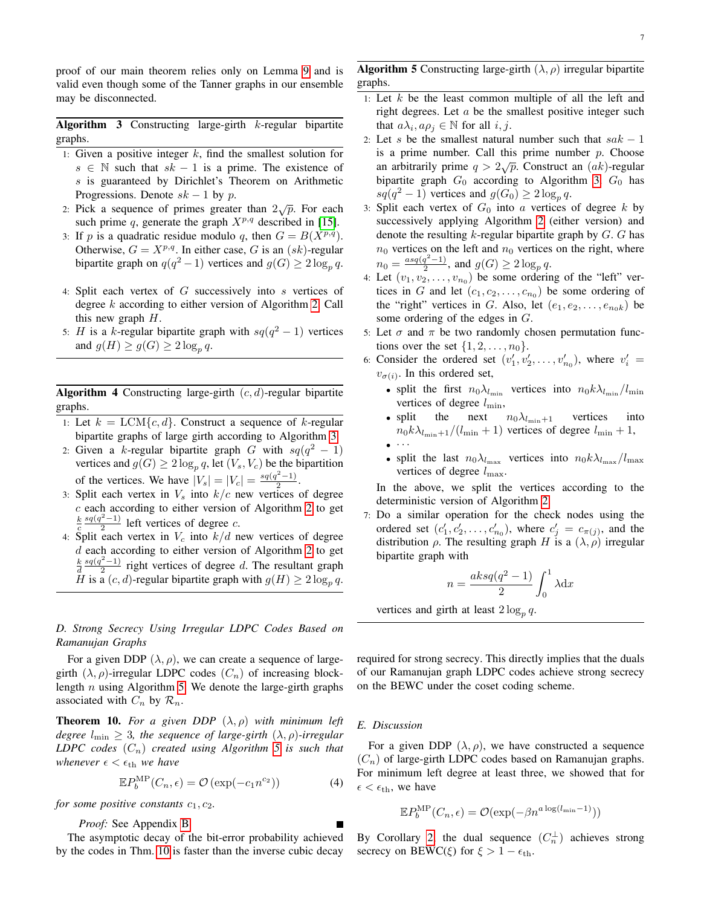proof of our main theorem relies only on Lemma [9](#page-5-1) and is valid even though some of the Tanner graphs in our ensemble may be disconnected.

**Algorithm 3** Constructing large-girth  $k$ -regular bipartite graphs.

- <span id="page-6-1"></span>1: Given a positive integer  $k$ , find the smallest solution for  $s \in \mathbb{N}$  such that  $sk - 1$  is a prime. The existence of s is guaranteed by Dirichlet's Theorem on Arithmetic Progressions. Denote  $sk - 1$  by p.
- 2: Pick a sequence of primes greater than  $2\sqrt{p}$ . For each such prime q, generate the graph  $X^{p,q}$  described in [\[15\]](#page-9-14).
- 3: If p is a quadratic residue modulo q, then  $G = B(X^{p,q})$ . Otherwise,  $G = X^{p,q}$ . In either case, G is an  $(sk)$ -regular bipartite graph on  $q(q^2 - 1)$  vertices and  $g(G) \geq 2 \log_p q$ .
- 4: Split each vertex of G successively into s vertices of degree k according to either version of Algorithm [2.](#page-5-0) Call this new graph  $H$ .
- 5: H is a k-regular bipartite graph with  $sq(q^2 1)$  vertices and  $g(H) \ge g(G) \ge 2 \log_p q$ .

**Algorithm 4** Constructing large-girth  $(c, d)$ -regular bipartite graphs.

- <span id="page-6-0"></span>1: Let  $k = LCM{c, d}$ . Construct a sequence of k-regular bipartite graphs of large girth according to Algorithm [3.](#page-6-1)
- 2: Given a k-regular bipartite graph G with  $sq(q^2 1)$ vertices and  $g(G) \geq 2 \log_p q$ , let  $(V_s, V_c)$  be the bipartition of the vertices. We have  $|V_s| = |V_c| = \frac{sq(q^2-1)}{2}$  $\frac{(-1)}{2}$ .
- 3: Split each vertex in  $V_s$  into  $k/c$  new vertices of degree  $c$  each according to either version of Algorithm [2](#page-5-0) to get  $rac{k}{c}$  $sq(q^2-1)$  $\frac{(-1)}{2}$  left vertices of degree c.
- 4: Split each vertex in  $V_c$  into  $k/d$  new vertices of degree  $d$  each according to either version of Algorithm [2](#page-5-0) to get  $rac{k}{d}$  $sq(q^2-1)$  $\frac{z^{2}-1}{2}$  right vertices of degree d. The resultant graph H is a  $(c, d)$ -regular bipartite graph with  $g(H) \geq 2 \log_p q$ .

# *D. Strong Secrecy Using Irregular LDPC Codes Based on Ramanujan Graphs*

For a given DDP  $(\lambda, \rho)$ , we can create a sequence of largegirth  $(\lambda, \rho)$ -irregular LDPC codes  $(C_n)$  of increasing blocklength  $n$  using Algorithm [5.](#page-6-2) We denote the large-girth graphs associated with  $C_n$  by  $\mathcal{R}_n$ .

<span id="page-6-3"></span>**Theorem 10.** For a given DDP  $(\lambda, \rho)$  with minimum left *degree*  $l_{\min} \geq 3$ *, the sequence of large-girth*  $(\lambda, \rho)$ *-irregular LDPC codes*  $(C_n)$  *created using Algorithm [5](#page-6-2) is such that whenever*  $\epsilon < \epsilon_{\text{th}}$  *we have* 

$$
\mathbb{E}P_b^{\text{MP}}(C_n, \epsilon) = \mathcal{O}\left(\exp(-c_1 n^{c_2})\right) \tag{4}
$$

*for some positive constants*  $c_1, c_2$ *.* 

*Proof:* See Appendix [B](#page-8-0)

The asymptotic decay of the bit-error probability achieved by the codes in Thm. [10](#page-6-3) is faster than the inverse cubic decay **Algorithm 5** Constructing large-girth  $(\lambda, \rho)$  irregular bipartite graphs.

- <span id="page-6-2"></span>1: Let  $k$  be the least common multiple of all the left and right degrees. Let  $a$  be the smallest positive integer such that  $a\lambda_i$ ,  $a\rho_j \in \mathbb{N}$  for all  $i, j$ .
- 2: Let s be the smallest natural number such that  $sak 1$ is a prime number. Call this prime number  $p$ . Choose an arbitrarily prime  $q > 2\sqrt{p}$ . Construct an  $(ak)$ -regular bipartite graph  $G_0$  according to Algorithm [3.](#page-6-1)  $G_0$  has  $sq(q^2-1)$  vertices and  $g(G_0) \geq 2 \log_p q$ .
- <span id="page-6-4"></span>3: Split each vertex of  $G_0$  into a vertices of degree k by successively applying Algorithm [2](#page-5-0) (either version) and denote the resulting k-regular bipartite graph by  $G$ .  $G$  has  $n_0$  vertices on the left and  $n_0$  vertices on the right, where  $n_0 = \frac{asq(q^2-1)}{2}$  $\frac{q^2-1}{2}$ , and  $g(G) \geq 2 \log_p q$ .
- 4: Let  $(v_1, v_2, \ldots, v_{n_0})$  be some ordering of the "left" vertices in G and let  $(c_1, c_2, \ldots, c_{n_0})$  be some ordering of the "right" vertices in G. Also, let  $(e_1, e_2, \ldots, e_{n_0k})$  be some ordering of the edges in G.
- 5: Let  $\sigma$  and  $\pi$  be two randomly chosen permutation functions over the set  $\{1, 2, \ldots, n_0\}$ .
- 6: Consider the ordered set  $(v'_1, v'_2, \ldots, v'_{n_0})$ , where  $v'_i$  =  $v_{\sigma(i)}$ . In this ordered set,
	- split the first  $n_0\lambda_{l_{\min}}$  vertices into  $n_0k\lambda_{l_{\min}}/l_{\min}$ vertices of degree  $l_{\text{min}}$ ,
	- split the next  $n_0\lambda_{l_{\min}+1}$  vertices into  $n_0k\lambda_{l_{\min}+1}/(l_{\min}+1)$  vertices of degree  $l_{\min}+1$ ,  $\bullet$   $\cdot$   $\cdot$   $\cdot$
	- split the last  $n_0 \lambda_{l_{\text{max}}}$  vertices into  $n_0 k \lambda_{l_{\text{max}}} / l_{\text{max}}$ vertices of degree  $l_{\text{max}}$ .

In the above, we split the vertices according to the deterministic version of Algorithm [2.](#page-5-0)

7: Do a similar operation for the check nodes using the ordered set  $(c'_1, c'_2, \ldots, c'_{n_0})$ , where  $c'_j = c_{\pi(j)}$ , and the distribution  $\rho$ . The resulting graph H is a  $(\lambda, \rho)$  irregular bipartite graph with

$$
n = \frac{aksq(q^2 - 1)}{2} \int_0^1 \lambda \mathrm{d}x
$$

vertices and girth at least  $2 \log_p q$ .

required for strong secrecy. This directly implies that the duals of our Ramanujan graph LDPC codes achieve strong secrecy on the BEWC under the coset coding scheme.

## *E. Discussion*

<span id="page-6-5"></span>For a given DDP  $(\lambda, \rho)$ , we have constructed a sequence  $(C_n)$  of large-girth LDPC codes based on Ramanujan graphs. For minimum left degree at least three, we showed that for  $\epsilon < \epsilon_{\text{th}}$ , we have

$$
\mathbb{E}P_b^{\mathrm{MP}}(C_n, \epsilon) = \mathcal{O}(\exp(-\beta n^{a \log(l_{\min}-1)}))
$$

By Corollary [2,](#page-2-1) the dual sequence  $(C_n^{\perp})$  achieves strong secrecy on BEWC( $\xi$ ) for  $\xi > 1 - \epsilon_{\text{th}}$ .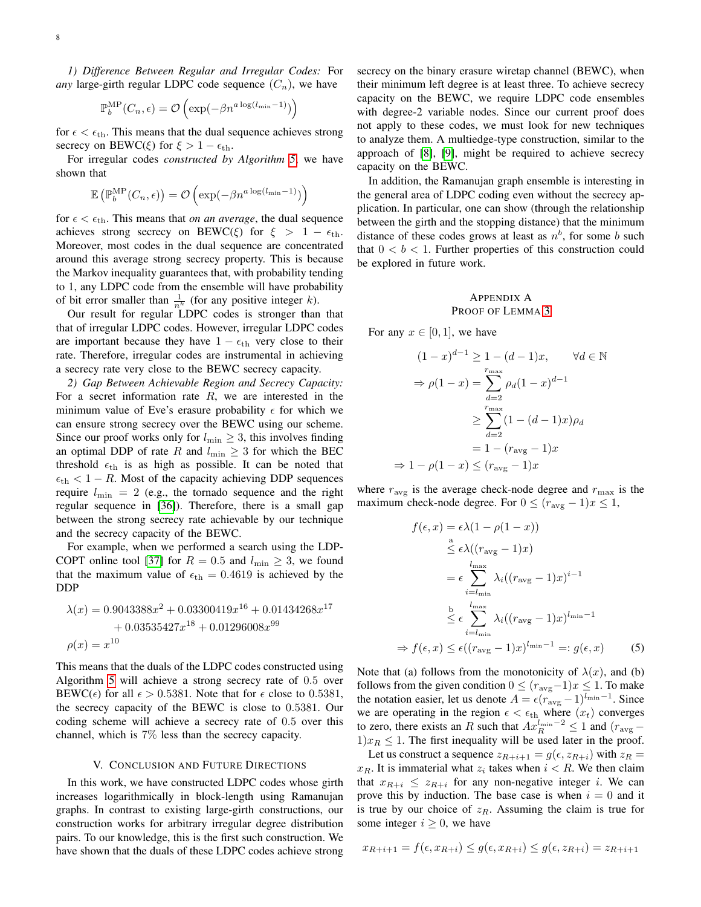*1) Difference Between Regular and Irregular Codes:* For *any* large-girth regular LDPC code sequence  $(C_n)$ , we have

$$
\mathbb{P}_{b}^{\text{MP}}(C_n, \epsilon) = \mathcal{O}\left(\exp(-\beta n^{a \log(l_{\min}-1)})\right)
$$

for  $\epsilon < \epsilon_{\text{th}}$ . This means that the dual sequence achieves strong secrecy on BEWC( $\xi$ ) for  $\xi > 1 - \epsilon_{\text{th}}$ .

For irregular codes *constructed by Algorithm [5](#page-6-2)*, we have shown that

$$
\mathbb{E}\left(\mathbb{P}_{b}^{\mathrm{MP}}(C_n,\epsilon)\right)=\mathcal{O}\left(\exp(-\beta n^{a\log(l_{\min}-1)})\right)
$$

for  $\epsilon < \epsilon_{\text{th}}$ . This means that *on an average*, the dual sequence achieves strong secrecy on BEWC( $\xi$ ) for  $\xi > 1 - \epsilon_{\text{th}}$ . Moreover, most codes in the dual sequence are concentrated around this average strong secrecy property. This is because the Markov inequality guarantees that, with probability tending to 1, any LDPC code from the ensemble will have probability of bit error smaller than  $\frac{1}{n^k}$  (for any positive integer k).

Our result for regular LDPC codes is stronger than that that of irregular LDPC codes. However, irregular LDPC codes are important because they have  $1 - \epsilon_{\text{th}}$  very close to their rate. Therefore, irregular codes are instrumental in achieving a secrecy rate very close to the BEWC secrecy capacity.

*2) Gap Between Achievable Region and Secrecy Capacity:* For a secret information rate  $R$ , we are interested in the minimum value of Eve's erasure probability  $\epsilon$  for which we can ensure strong secrecy over the BEWC using our scheme. Since our proof works only for  $l_{\min} \geq 3$ , this involves finding an optimal DDP of rate R and  $l_{\min} \geq 3$  for which the BEC threshold  $\epsilon_{\text{th}}$  is as high as possible. It can be noted that  $\epsilon_{\text{th}} < 1 - R$ . Most of the capacity achieving DDP sequences require  $l_{\min} = 2$  (e.g., the tornado sequence and the right regular sequence in [\[36\]](#page-10-20)). Therefore, there is a small gap between the strong secrecy rate achievable by our technique and the secrecy capacity of the BEWC.

For example, when we performed a search using the LDP-COPT online tool [\[37\]](#page-10-21) for  $R = 0.5$  and  $l_{\min} \geq 3$ , we found that the maximum value of  $\epsilon_{\text{th}} = 0.4619$  is achieved by the DDP

$$
\lambda(x) = 0.9043388x^{2} + 0.03300419x^{16} + 0.01434268x^{17} + 0.03535427x^{18} + 0.01296008x^{99} \n\rho(x) = x^{10}
$$

This means that the duals of the LDPC codes constructed using Algorithm [5](#page-6-2) will achieve a strong secrecy rate of 0.5 over BEWC( $\epsilon$ ) for all  $\epsilon > 0.5381$ . Note that for  $\epsilon$  close to 0.5381, the secrecy capacity of the BEWC is close to 0.5381. Our coding scheme will achieve a secrecy rate of 0.5 over this channel, which is 7% less than the secrecy capacity.

#### V. CONCLUSION AND FUTURE DIRECTIONS

In this work, we have constructed LDPC codes whose girth increases logarithmically in block-length using Ramanujan graphs. In contrast to existing large-girth constructions, our construction works for arbitrary irregular degree distribution pairs. To our knowledge, this is the first such construction. We have shown that the duals of these LDPC codes achieve strong secrecy on the binary erasure wiretap channel (BEWC), when their minimum left degree is at least three. To achieve secrecy capacity on the BEWC, we require LDPC code ensembles with degree-2 variable nodes. Since our current proof does not apply to these codes, we must look for new techniques to analyze them. A multiedge-type construction, similar to the approach of [\[8\]](#page-9-10), [\[9\]](#page-9-11), might be required to achieve secrecy capacity on the BEWC.

In addition, the Ramanujan graph ensemble is interesting in the general area of LDPC coding even without the secrecy application. In particular, one can show (through the relationship between the girth and the stopping distance) that the minimum distance of these codes grows at least as  $n^b$ , for some b such that  $0 < b < 1$ . Further properties of this construction could be explored in future work.

## <span id="page-7-0"></span>APPENDIX A PROOF OF LEMMA [3](#page-3-1)

For any  $x \in [0, 1]$ , we have

$$
(1-x)^{d-1} \ge 1 - (d-1)x, \qquad \forall d \in \mathbb{N}
$$

$$
\Rightarrow \rho(1-x) = \sum_{d=2}^{r_{\text{max}}} \rho_d(1-x)^{d-1}
$$

$$
\ge \sum_{d=2}^{r_{\text{max}}} (1 - (d-1)x)\rho_d
$$

$$
= 1 - (r_{\text{avg}} - 1)x
$$

$$
\Rightarrow 1 - \rho(1-x) \le (r_{\text{avg}} - 1)x
$$

where  $r_{\text{avg}}$  is the average check-node degree and  $r_{\text{max}}$  is the maximum check-node degree. For  $0 \le (r_{\text{avg}} - 1)x \le 1$ ,

<span id="page-7-1"></span>
$$
f(\epsilon, x) = \epsilon \lambda (1 - \rho(1 - x))
$$
  
\n
$$
\leq \epsilon \lambda ((r_{\text{avg}} - 1)x)
$$
  
\n
$$
= \epsilon \sum_{i=l_{\text{min}}}^{l_{\text{max}}} \lambda_i ((r_{\text{avg}} - 1)x)^{i-1}
$$
  
\n
$$
\leq \epsilon \sum_{i=l_{\text{min}}}^{l_{\text{max}}} \lambda_i ((r_{\text{avg}} - 1)x)^{l_{\text{min}}-1}
$$
  
\n
$$
\Rightarrow f(\epsilon, x) \leq \epsilon ((r_{\text{avg}} - 1)x)^{l_{\text{min}}-1} =: g(\epsilon, x)
$$
 (5)

Note that (a) follows from the monotonicity of  $\lambda(x)$ , and (b) follows from the given condition  $0 \le (r_{\text{avg}}-1)x \le 1$ . To make the notation easier, let us denote  $A = \epsilon (r_{\text{avg}} - 1)^{l_{\text{min}}-1}$ . Since we are operating in the region  $\epsilon < \epsilon_{\text{th}}$  where  $(x_t)$  converges to zero, there exists an R such that  $Ax_R^{l_{\text{min}}-2} \leq 1$  and  $(r_{\text{avg}} 1/x_R \leq 1$ . The first inequality will be used later in the proof.

Let us construct a sequence  $z_{R+i+1} = g(\epsilon, z_{R+i})$  with  $z_R =$  $x_R$ . It is immaterial what  $z_i$  takes when  $i < R$ . We then claim that  $x_{R+i} \leq z_{R+i}$  for any non-negative integer *i*. We can prove this by induction. The base case is when  $i = 0$  and it is true by our choice of  $z_R$ . Assuming the claim is true for some integer  $i \geq 0$ , we have

$$
x_{R+i+1} = f(\epsilon, x_{R+i}) \le g(\epsilon, x_{R+i}) \le g(\epsilon, z_{R+i}) = z_{R+i+1}
$$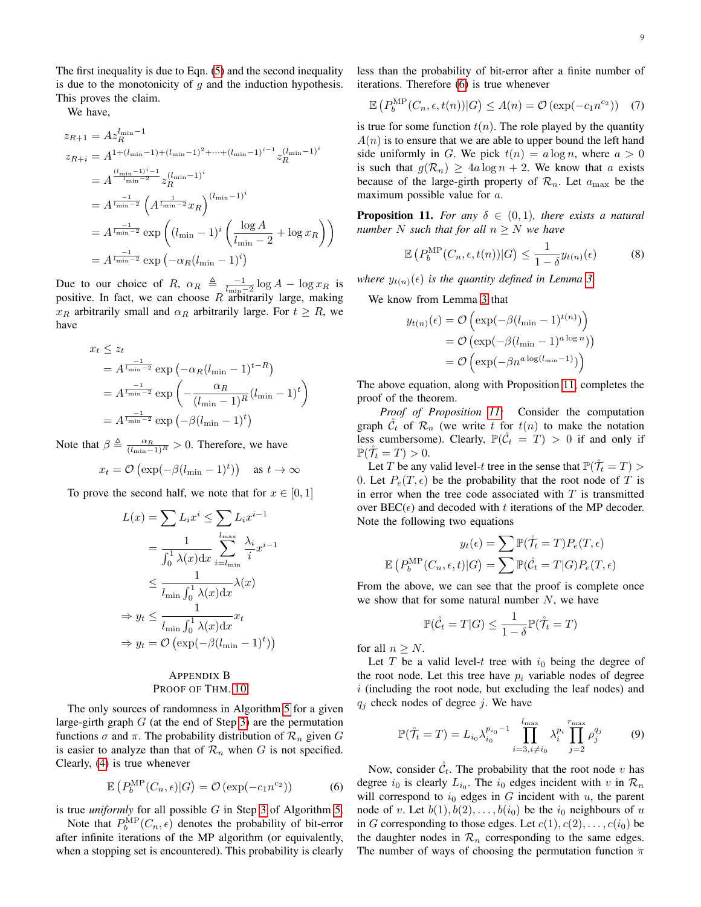The first inequality is due to Eqn. [\(5\)](#page-7-1) and the second inequality is due to the monotonicity of  $q$  and the induction hypothesis. This proves the claim.

We have,

$$
z_{R+1} = Az_R^{\ln n-1}
$$
  
\n
$$
z_{R+i} = A^{1 + (\ln n-1) + (\ln n-1)^2 + \dots + (\ln n-1)^{i-1}} z_R^{(\ln n-1)^i}
$$
  
\n
$$
= A^{\frac{(\ln n-1)^i - 1}{\ln n-2}} z_R^{(\ln n-1)^i}
$$
  
\n
$$
= A^{\frac{-1}{\ln n-2}} \left( A^{\frac{1}{\ln n-2}} x_R \right)^{(\ln n-1)^i}
$$
  
\n
$$
= A^{\frac{-1}{\ln n-2}} \exp \left( (\ln n-1)^i \left( \frac{\log A}{\ln n-2} + \log x_R \right) \right)
$$
  
\n
$$
= A^{\frac{-1}{\ln n-2}} \exp \left( -\alpha_R (\ln n-1)^i \right)
$$

Due to our choice of R,  $\alpha_R \triangleq \frac{-1}{l_{\min}-2} \log A - \log x_R$  is positive. In fact, we can choose  $R$  arbitrarily large, making  $x_R$  arbitrarily small and  $\alpha_R$  arbitrarily large. For  $t \geq R$ , we have

$$
x_t \le z_t
$$
  
=  $A^{\frac{-1}{l_{\min}-2}} \exp\left(-\alpha_R(l_{\min}-1)^{t-R}\right)$   
=  $A^{\frac{-1}{l_{\min}-2}} \exp\left(-\frac{\alpha_R}{(l_{\min}-1)^R}(l_{\min}-1)^t\right)$   
=  $A^{\frac{-1}{l_{\min}-2}} \exp\left(-\beta(l_{\min}-1)^t\right)$ 

Note that  $\beta \triangleq \frac{\alpha_R}{(l_{\min}-1)^R} > 0$ . Therefore, we have

$$
x_t = \mathcal{O}\left(\exp(-\beta(l_{\min} - 1)^t)\right) \quad \text{as } t \to \infty
$$

To prove the second half, we note that for  $x \in [0,1]$ 

$$
L(x) = \sum L_i x^i \le \sum L_i x^{i-1}
$$
  
= 
$$
\frac{1}{\int_0^1 \lambda(x) dx} \sum_{i=l_{\min}}^{l_{\max}} \frac{\lambda_i}{i} x^{i-1}
$$
  

$$
\le \frac{1}{l_{\min} \int_0^1 \lambda(x) dx} \lambda(x)
$$
  

$$
\Rightarrow y_t \le \frac{1}{l_{\min} \int_0^1 \lambda(x) dx} x_t
$$
  

$$
\Rightarrow y_t = \mathcal{O}(\exp(-\beta(l_{\min} - 1)^t))
$$

# <span id="page-8-0"></span>APPENDIX B PROOF OF THM. [10](#page-6-3)

The only sources of randomness in Algorithm [5](#page-6-2) for a given large-girth graph  $G$  (at the end of Step [3\)](#page-6-4) are the permutation functions  $\sigma$  and  $\pi$ . The probability distribution of  $\mathcal{R}_n$  given G is easier to analyze than that of  $\mathcal{R}_n$  when G is not specified. Clearly, [\(4\)](#page-6-5) is true whenever

$$
\mathbb{E}\left(P_b^{\text{MP}}(C_n,\epsilon)|G\right) = \mathcal{O}\left(\exp(-c_1 n^{c_2})\right) \tag{6}
$$

is true *uniformly* for all possible G in Step [3](#page-6-4) of Algorithm [5.](#page-6-2)

Note that  $P_b^{\text{MP}}(C_n, \epsilon)$  denotes the probability of bit-error after infinite iterations of the MP algorithm (or equivalently, when a stopping set is encountered). This probability is clearly less than the probability of bit-error after a finite number of iterations. Therefore [\(6\)](#page-8-1) is true whenever

$$
\mathbb{E}\left(P_b^{\text{MP}}(C_n, \epsilon, t(n))|G\right) \le A(n) = \mathcal{O}\left(\exp(-c_1 n^{c_2})\right) \tag{7}
$$

is true for some function  $t(n)$ . The role played by the quantity  $A(n)$  is to ensure that we are able to upper bound the left hand side uniformly in G. We pick  $t(n) = a \log n$ , where  $a > 0$ is such that  $g(\mathcal{R}_n) \ge 4a \log n + 2$ . We know that a exists because of the large-girth property of  $\mathcal{R}_n$ . Let  $a_{\text{max}}$  be the maximum possible value for a.

<span id="page-8-2"></span>**Proposition 11.** For any  $\delta \in (0,1)$ , there exists a natural *number* N such that for all  $n > N$  we have

$$
\mathbb{E}\left(P_b^{\text{MP}}(C_n,\epsilon,t(n))|G\right) \le \frac{1}{1-\delta}y_{t(n)}(\epsilon) \tag{8}
$$

*where*  $y_{t(n)}(\epsilon)$  *is the quantity defined in Lemma [3.](#page-3-1)* 

We know from Lemma [3](#page-3-1) that

$$
y_{t(n)}(\epsilon) = \mathcal{O}\left(\exp(-\beta(l_{\min} - 1)^{t(n)})\right)
$$

$$
= \mathcal{O}\left(\exp(-\beta(l_{\min} - 1)^{a \log n})\right)
$$

$$
= \mathcal{O}\left(\exp(-\beta n^{a \log(l_{\min} - 1)})\right)
$$

The above equation, along with Proposition [11,](#page-8-2) completes the proof of the theorem.

*Proof of Proposition [11:](#page-8-2)* Consider the computation graph  $\mathcal{C}_t$  of  $\mathcal{R}_n$  (we write t for  $t(n)$  to make the notation less cumbersome). Clearly,  $\mathbb{P}(\hat{\mathcal{C}}_t = T) > 0$  if and only if  $\mathbb{P}(\mathcal{T}_t = T) > 0.$ 

Let T be any valid level-t tree in the sense that  $\mathbb{P}(\mathring{T}_t = T)$ 0. Let  $P_e(T, \epsilon)$  be the probability that the root node of T is in error when the tree code associated with  $T$  is transmitted over  $BEC(\epsilon)$  and decoded with t iterations of the MP decoder. Note the following two equations

$$
y_t(\epsilon) = \sum \mathbb{P}(\tilde{\mathcal{T}}_t = T) P_e(T, \epsilon)
$$

$$
\mathbb{E}\left(P_b^{\text{MP}}(C_n, \epsilon, t) | G\right) = \sum \mathbb{P}(\mathcal{C}_t = T | G) P_e(T, \epsilon)
$$

From the above, we can see that the proof is complete once we show that for some natural number  $N$ , we have

$$
\mathbb{P}(\mathring{\mathcal{C}}_t = T | G) \le \frac{1}{1 - \delta} \mathbb{P}(\mathring{\mathcal{T}}_t = T)
$$

for all  $n \geq N$ .

Let T be a valid level-t tree with  $i_0$  being the degree of the root node. Let this tree have  $p_i$  variable nodes of degree  $i$  (including the root node, but excluding the leaf nodes) and  $q_j$  check nodes of degree j. We have

$$
\mathbb{P}(\mathring{\mathcal{T}}_t = T) = L_{i_0} \lambda_{i_0}^{p_{i_0} - 1} \prod_{i=3, i \neq i_0}^{l_{\text{max}}} \lambda_i^{p_i} \prod_{j=2}^{r_{\text{max}}} \rho_j^{q_j} \tag{9}
$$

<span id="page-8-1"></span>Now, consider  $\check{\mathcal{C}}_t$ . The probability that the root node v has degree  $i_0$  is clearly  $L_{i_0}$ . The  $i_0$  edges incident with v in  $\mathcal{R}_n$ will correspond to  $i_0$  edges in G incident with  $u$ , the parent node of v. Let  $b(1)$ ,  $b(2)$ , ...,  $b(i_0)$  be the  $i_0$  neighbours of u in G corresponding to those edges. Let  $c(1), c(2), \ldots, c(i_0)$  be the daughter nodes in  $\mathcal{R}_n$  corresponding to the same edges. The number of ways of choosing the permutation function  $\pi$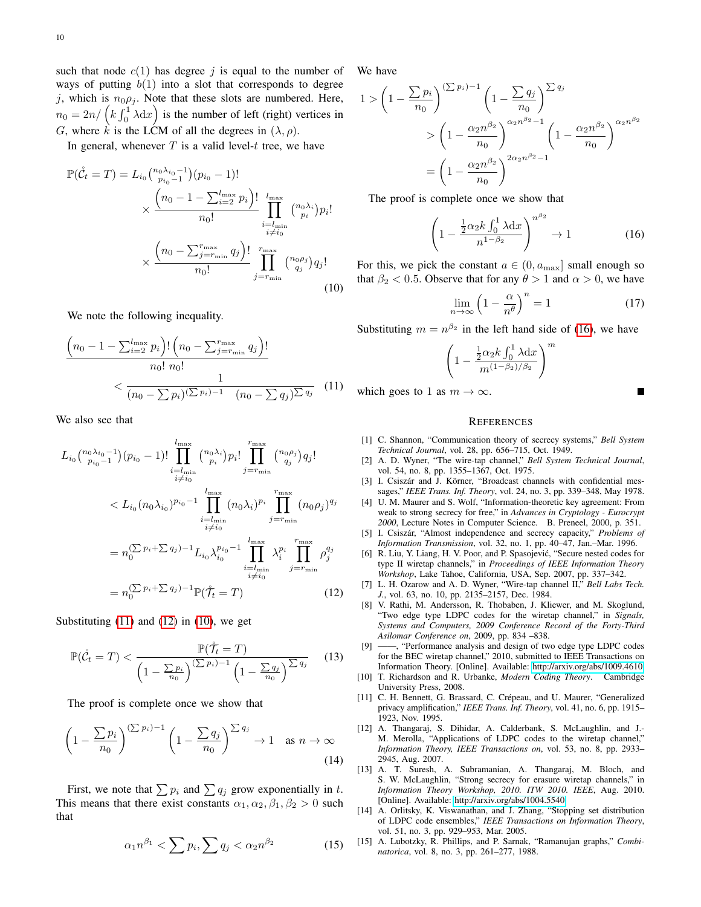such that node  $c(1)$  has degree j is equal to the number of ways of putting  $b(1)$  into a slot that corresponds to degree j, which is  $n_0 \rho_j$ . Note that these slots are numbered. Here,  $n_0 = 2n / (k \int_0^1 \lambda dx)$  is the number of left (right) vertices in G, where k is the LCM of all the degrees in  $(\lambda, \rho)$ .

In general, whenever  $T$  is a valid level-t tree, we have

$$
\mathbb{P}(\mathring{C}_t = T) = L_{i_0} {n_0 \lambda_{i_0} - 1 \choose p_{i_0} - 1} (p_{i_0} - 1)!
$$
  
 
$$
\times \frac{\left(n_0 - 1 - \sum_{i=2}^{l_{\text{max}}} p_i\right)!}{n_0!} \prod_{\substack{i=l_{\text{min}} \\ i \neq i_0}}^{l_{\text{max}}} {n_0 \lambda_i \choose p_i} p_i!
$$
  
 
$$
\times \frac{\left(n_0 - \sum_{j=r_{\text{min}}}^{r_{\text{max}}} q_j\right)!}{n_0!} \prod_{j=r_{\text{min}}}^{r_{\text{max}}} {n_0 \rho_j \choose q_j} q_j!
$$
(10)

We note the following inequality.

$$
\frac{\left(n_0 - 1 - \sum_{i=2}^{l_{\text{max}}} p_i\right)! \left(n_0 - \sum_{j=r_{\text{min}}}^{r_{\text{max}}} q_j\right)!}{n_0! n_0!} \left(\frac{1}{(n_0 - \sum p_i)(\sum p_i) - 1} \frac{1}{(n_0 - \sum q_j)\sum q_j}\right)
$$
(11)

We also see that

$$
L_{i_{0}}\binom{n_{0}\lambda_{i_{0}}-1}{p_{i_{0}}-1}(p_{i_{0}}-1)!\prod_{\substack{i=l_{\min}\\i\neq i_{0}}}^{l_{\max}}\binom{n_{0}\lambda_{i}}{p_{i}}p_{i}!\prod_{j=r_{\min}}^{r_{\max}}\binom{n_{0}\rho_{j}}{q_{j}}q_{j}!
$$
  

$$
< L_{i_{0}}(n_{0}\lambda_{i_{0}})^{p_{i_{0}}-1}\prod_{\substack{i=l_{\min}\\i\neq i_{0}}}^{l_{\max}}(n_{0}\lambda_{i})^{p_{i}}\prod_{j=r_{\min}}^{r_{\max}}(n_{0}\rho_{j})^{q_{j}}
$$
  

$$
= n_{0}^{(\sum p_{i}+\sum q_{j})-1}L_{i_{0}}\lambda_{i_{0}}^{p_{i_{0}}-1}\prod_{\substack{i=l_{\min}\\i\neq i_{0}}}^{l_{\max}}\lambda_{i}^{p_{i}}\prod_{j=r_{\min}}^{r_{\max}}\rho_{j}^{q_{j}}
$$
  

$$
= n_{0}^{(\sum p_{i}+\sum q_{j})-1}\mathbb{P}(\tilde{\mathcal{T}}_{t}=T)
$$
(12)

Substituting  $(11)$  and  $(12)$  in  $(10)$ , we get

$$
\mathbb{P}(\mathring{\mathcal{C}}_t = T) < \frac{\mathbb{P}(\mathring{\mathcal{T}}_t = T)}{\left(1 - \frac{\sum p_i}{n_0}\right)^{(\sum p_i) - 1} \left(1 - \frac{\sum q_j}{n_0}\right)^{\sum q_j}} \tag{13}
$$

The proof is complete once we show that

$$
\left(1 - \frac{\sum p_i}{n_0}\right)^{(\sum p_i) - 1} \left(1 - \frac{\sum q_j}{n_0}\right)^{\sum q_j} \to 1 \quad \text{as } n \to \infty
$$
\n(14)

First, we note that  $\sum p_i$  and  $\sum q_j$  grow exponentially in t. This means that there exist constants  $\alpha_1, \alpha_2, \beta_1, \beta_2 > 0$  such that

$$
\alpha_1 n^{\beta_1} < \sum p_i, \sum q_j < \alpha_2 n^{\beta_2} \tag{15}
$$

We have

$$
1 > \left(1 - \frac{\sum p_i}{n_0}\right)^{(\sum p_i) - 1} \left(1 - \frac{\sum q_j}{n_0}\right)^{\sum q_j}
$$
  
> 
$$
\left(1 - \frac{\alpha_2 n^{\beta_2}}{n_0}\right)^{\alpha_2 n^{\beta_2} - 1} \left(1 - \frac{\alpha_2 n^{\beta_2}}{n_0}\right)^{\alpha_2 n^{\beta_2}}
$$
  
= 
$$
\left(1 - \frac{\alpha_2 n^{\beta_2}}{n_0}\right)^{2\alpha_2 n^{\beta_2} - 1}
$$

The proof is complete once we show that

$$
\left(1 - \frac{\frac{1}{2}\alpha_2 k \int_0^1 \lambda \mathrm{d}x}{n^{1-\beta_2}}\right)^{n^{\beta_2}} \to 1\tag{16}
$$

<span id="page-9-17"></span>For this, we pick the constant  $a \in (0, a_{\text{max}}]$  small enough so that  $\beta_2$  < 0.5. Observe that for any  $\theta > 1$  and  $\alpha > 0$ , we have

$$
\lim_{n \to \infty} \left( 1 - \frac{\alpha}{n^{\theta}} \right)^n = 1 \tag{17}
$$

Substituting  $m = n^{\beta_2}$  in the left hand side of [\(16\)](#page-9-18), we have

$$
\left(1 - \frac{\frac{1}{2}\alpha_2 k \int_0^1 \lambda \mathrm{d}x}{m^{(1-\beta_2)/\beta_2}}\right)^m
$$

<span id="page-9-15"></span>which goes to 1 as  $m \to \infty$ .

<span id="page-9-18"></span>Г

#### **REFERENCES**

- <span id="page-9-0"></span>[1] C. Shannon, "Communication theory of secrecy systems," *Bell System Technical Journal*, vol. 28, pp. 656–715, Oct. 1949.
- <span id="page-9-1"></span>[2] A. D. Wyner, "The wire-tap channel," *Bell System Technical Journal*, vol. 54, no. 8, pp. 1355–1367, Oct. 1975.
- <span id="page-9-2"></span>[3] I. Csiszár and  $\hat{J}$ . Körner, "Broadcast channels with confidential messages," *IEEE Trans. Inf. Theory*, vol. 24, no. 3, pp. 339–348, May 1978.
- <span id="page-9-3"></span>[4] U. M. Maurer and S. Wolf, "Information-theoretic key agreement: From weak to strong secrecy for free," in *Advances in Cryptology - Eurocrypt 2000*, Lecture Notes in Computer Science. B. Preneel, 2000, p. 351.
- <span id="page-9-4"></span>[5] I. Csiszár, "Almost independence and secrecy capacity," Problems of *Information Transmission*, vol. 32, no. 1, pp. 40–47, Jan.–Mar. 1996.
- <span id="page-9-5"></span>[6] R. Liu, Y. Liang, H. V. Poor, and P. Spasojević, "Secure nested codes for type II wiretap channels," in *Proceedings of IEEE Information Theory Workshop*, Lake Tahoe, California, USA, Sep. 2007, pp. 337–342.
- <span id="page-9-16"></span><span id="page-9-9"></span>[7] L. H. Ozarow and A. D. Wyner, "Wire-tap channel II," *Bell Labs Tech. J.*, vol. 63, no. 10, pp. 2135–2157, Dec. 1984.
- <span id="page-9-10"></span>[8] V. Rathi, M. Andersson, R. Thobaben, J. Kliewer, and M. Skoglund, "Two edge type LDPC codes for the wiretap channel," in *Signals, Systems and Computers, 2009 Conference Record of the Forty-Third Asilomar Conference on*, 2009, pp. 834 –838.
- <span id="page-9-11"></span>[9] ——, "Performance analysis and design of two edge type LDPC codes for the BEC wiretap channel," 2010, submitted to IEEE Transactions on Information Theory. [Online]. Available:<http://arxiv.org/abs/1009.4610>
- <span id="page-9-6"></span>[10] T. Richardson and R. Urbanke, *Modern Coding Theory*. Cambridge University Press, 2008.
- <span id="page-9-7"></span>[11] C. H. Bennett, G. Brassard, C. Crépeau, and U. Maurer, "Generalized privacy amplification," *IEEE Trans. Inf. Theory*, vol. 41, no. 6, pp. 1915– 1923, Nov. 1995.
- <span id="page-9-8"></span>[12] A. Thangaraj, S. Dihidar, A. Calderbank, S. McLaughlin, and J.- M. Merolla, "Applications of LDPC codes to the wiretap channel," *Information Theory, IEEE Transactions on*, vol. 53, no. 8, pp. 2933– 2945, Aug. 2007.
- <span id="page-9-12"></span>[13] A. T. Suresh, A. Subramanian, A. Thangaraj, M. Bloch, and S. W. McLaughlin, "Strong secrecy for erasure wiretap channels," in *Information Theory Workshop, 2010. ITW 2010. IEEE*, Aug. 2010. [Online]. Available:<http://arxiv.org/abs/1004.5540>
- <span id="page-9-13"></span>[14] A. Orlitsky, K. Viswanathan, and J. Zhang, "Stopping set distribution of LDPC code ensembles," *IEEE Transactions on Information Theory*, vol. 51, no. 3, pp. 929–953, Mar. 2005.
- <span id="page-9-14"></span>[15] A. Lubotzky, R. Phillips, and P. Sarnak, "Ramanujan graphs," *Combinatorica*, vol. 8, no. 3, pp. 261–277, 1988.